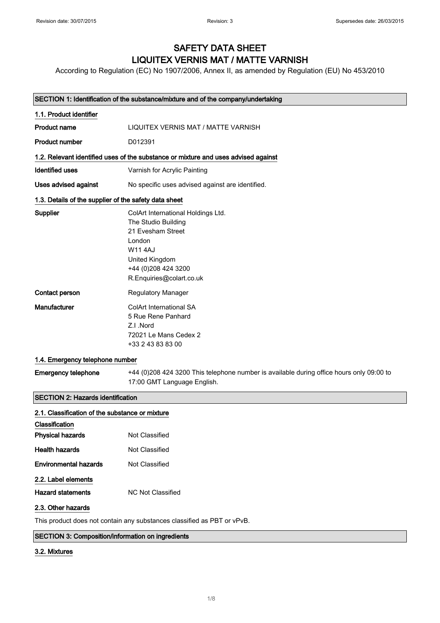# SAFETY DATA SHEET LIQUITEX VERNIS MAT / MATTE VARNISH

According to Regulation (EC) No 1907/2006, Annex II, as amended by Regulation (EU) No 453/2010

| SECTION 1: Identification of the substance/mixture and of the company/undertaking |                                                                                                                                                                                |
|-----------------------------------------------------------------------------------|--------------------------------------------------------------------------------------------------------------------------------------------------------------------------------|
| 1.1. Product identifier                                                           |                                                                                                                                                                                |
| <b>Product name</b>                                                               | LIQUITEX VERNIS MAT / MATTE VARNISH                                                                                                                                            |
| <b>Product number</b>                                                             | D012391                                                                                                                                                                        |
|                                                                                   | 1.2. Relevant identified uses of the substance or mixture and uses advised against                                                                                             |
| <b>Identified uses</b>                                                            | Varnish for Acrylic Painting                                                                                                                                                   |
| Uses advised against                                                              | No specific uses advised against are identified.                                                                                                                               |
| 1.3. Details of the supplier of the safety data sheet                             |                                                                                                                                                                                |
| Supplier                                                                          | ColArt International Holdings Ltd.<br>The Studio Building<br>21 Evesham Street<br>London<br><b>W114AJ</b><br>United Kingdom<br>+44 (0)208 424 3200<br>R.Enquiries@colart.co.uk |
| Contact person                                                                    | <b>Regulatory Manager</b>                                                                                                                                                      |
| Manufacturer                                                                      | ColArt International SA<br>5 Rue Rene Panhard<br>Z.I.Nord<br>72021 Le Mans Cedex 2<br>+33 2 43 83 83 00                                                                        |
| 1.4. Emergency telephone number                                                   |                                                                                                                                                                                |
| <b>Emergency telephone</b>                                                        | +44 (0)208 424 3200 This telephone number is available during office hours only 09:00 to<br>17:00 GMT Language English.                                                        |

# SECTION 2: Hazards identification

| 2.1. Classification of the substance or mixture |                   |  |
|-------------------------------------------------|-------------------|--|
| Classification                                  |                   |  |
| <b>Physical hazards</b>                         | Not Classified    |  |
| Health hazards                                  | Not Classified    |  |
| <b>Environmental hazards</b>                    | Not Classified    |  |
| 2.2. Label elements                             |                   |  |
| Hazard statements                               | NC Not Classified |  |
| 2.3. Other hazards                              |                   |  |

This product does not contain any substances classified as PBT or vPvB.

## SECTION 3: Composition/information on ingredients

## 3.2. Mixtures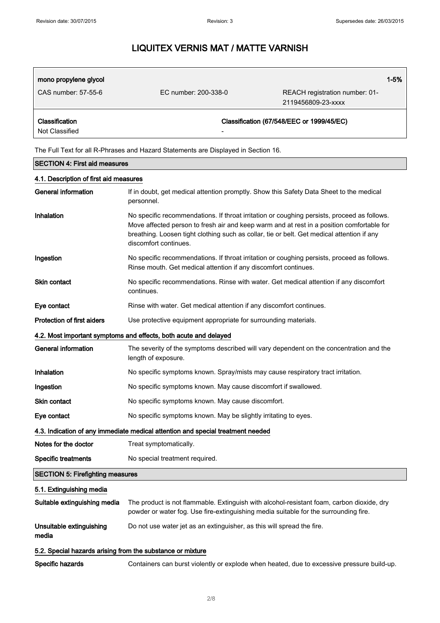| mono propylene glycol<br>CAS number: 57-55-6 | EC number: 200-338-0 | REACH registration number: 01-            | $1 - 5%$ |
|----------------------------------------------|----------------------|-------------------------------------------|----------|
|                                              |                      | 2119456809-23-xxxx                        |          |
| Classification<br>Not Classified             | -                    | Classification (67/548/EEC or 1999/45/EC) |          |

The Full Text for all R-Phrases and Hazard Statements are Displayed in Section 16.

| <b>SECTION 4: First aid measures</b>                             |                                                                                                                                                                                                                                                                                                                 |  |
|------------------------------------------------------------------|-----------------------------------------------------------------------------------------------------------------------------------------------------------------------------------------------------------------------------------------------------------------------------------------------------------------|--|
| 4.1. Description of first aid measures                           |                                                                                                                                                                                                                                                                                                                 |  |
| <b>General information</b>                                       | If in doubt, get medical attention promptly. Show this Safety Data Sheet to the medical<br>personnel.                                                                                                                                                                                                           |  |
| Inhalation                                                       | No specific recommendations. If throat irritation or coughing persists, proceed as follows.<br>Move affected person to fresh air and keep warm and at rest in a position comfortable for<br>breathing. Loosen tight clothing such as collar, tie or belt. Get medical attention if any<br>discomfort continues. |  |
| Ingestion                                                        | No specific recommendations. If throat irritation or coughing persists, proceed as follows.<br>Rinse mouth. Get medical attention if any discomfort continues.                                                                                                                                                  |  |
| Skin contact                                                     | No specific recommendations. Rinse with water. Get medical attention if any discomfort<br>continues.                                                                                                                                                                                                            |  |
| Eye contact                                                      | Rinse with water. Get medical attention if any discomfort continues.                                                                                                                                                                                                                                            |  |
| <b>Protection of first aiders</b>                                | Use protective equipment appropriate for surrounding materials.                                                                                                                                                                                                                                                 |  |
| 4.2. Most important symptoms and effects, both acute and delayed |                                                                                                                                                                                                                                                                                                                 |  |
| <b>General information</b>                                       | The severity of the symptoms described will vary dependent on the concentration and the<br>length of exposure.                                                                                                                                                                                                  |  |
| Inhalation                                                       | No specific symptoms known. Spray/mists may cause respiratory tract irritation.                                                                                                                                                                                                                                 |  |
| Ingestion                                                        | No specific symptoms known. May cause discomfort if swallowed.                                                                                                                                                                                                                                                  |  |
| <b>Skin contact</b>                                              | No specific symptoms known. May cause discomfort.                                                                                                                                                                                                                                                               |  |
| Eye contact                                                      | No specific symptoms known. May be slightly irritating to eyes.                                                                                                                                                                                                                                                 |  |
|                                                                  | 4.3. Indication of any immediate medical attention and special treatment needed                                                                                                                                                                                                                                 |  |
| Notes for the doctor                                             | Treat symptomatically.                                                                                                                                                                                                                                                                                          |  |
| <b>Specific treatments</b>                                       | No special treatment required.                                                                                                                                                                                                                                                                                  |  |
| <b>SECTION 5: Firefighting measures</b>                          |                                                                                                                                                                                                                                                                                                                 |  |
| 5.1. Extinguishing media                                         |                                                                                                                                                                                                                                                                                                                 |  |
| Suitable extinguishing media                                     | The product is not flammable. Extinguish with alcohol-resistant foam, carbon dioxide, dry<br>powder or water fog. Use fire-extinguishing media suitable for the surrounding fire.                                                                                                                               |  |
| Unsuitable extinguishing<br>media                                | Do not use water jet as an extinguisher, as this will spread the fire.                                                                                                                                                                                                                                          |  |
| 5.2. Special hazards arising from the substance or mixture       |                                                                                                                                                                                                                                                                                                                 |  |
| Specific hazards                                                 | Containers can burst violently or explode when heated, due to excessive pressure build-up.                                                                                                                                                                                                                      |  |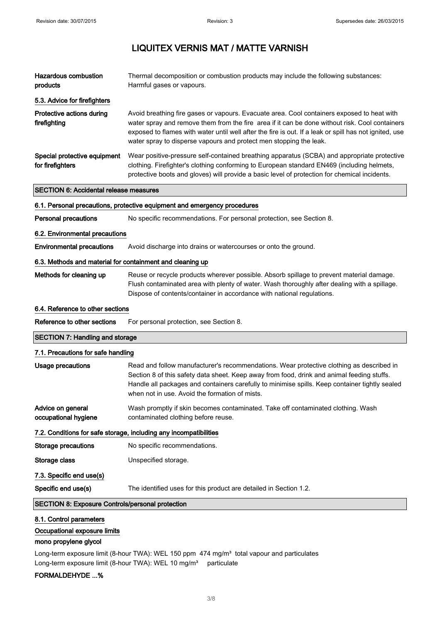| <b>Hazardous combustion</b><br>products                   | Thermal decomposition or combustion products may include the following substances:<br>Harmful gases or vapours.                                                                                                                                                                                                                                                              |  |
|-----------------------------------------------------------|------------------------------------------------------------------------------------------------------------------------------------------------------------------------------------------------------------------------------------------------------------------------------------------------------------------------------------------------------------------------------|--|
| 5.3. Advice for firefighters                              |                                                                                                                                                                                                                                                                                                                                                                              |  |
| Protective actions during<br>firefighting                 | Avoid breathing fire gases or vapours. Evacuate area. Cool containers exposed to heat with<br>water spray and remove them from the fire area if it can be done without risk. Cool containers<br>exposed to flames with water until well after the fire is out. If a leak or spill has not ignited, use<br>water spray to disperse vapours and protect men stopping the leak. |  |
| Special protective equipment<br>for firefighters          | Wear positive-pressure self-contained breathing apparatus (SCBA) and appropriate protective<br>clothing. Firefighter's clothing conforming to European standard EN469 (including helmets,<br>protective boots and gloves) will provide a basic level of protection for chemical incidents.                                                                                   |  |
| <b>SECTION 6: Accidental release measures</b>             |                                                                                                                                                                                                                                                                                                                                                                              |  |
|                                                           | 6.1. Personal precautions, protective equipment and emergency procedures                                                                                                                                                                                                                                                                                                     |  |
| <b>Personal precautions</b>                               | No specific recommendations. For personal protection, see Section 8.                                                                                                                                                                                                                                                                                                         |  |
| 6.2. Environmental precautions                            |                                                                                                                                                                                                                                                                                                                                                                              |  |
| <b>Environmental precautions</b>                          | Avoid discharge into drains or watercourses or onto the ground.                                                                                                                                                                                                                                                                                                              |  |
| 6.3. Methods and material for containment and cleaning up |                                                                                                                                                                                                                                                                                                                                                                              |  |
| Methods for cleaning up                                   | Reuse or recycle products wherever possible. Absorb spillage to prevent material damage.<br>Flush contaminated area with plenty of water. Wash thoroughly after dealing with a spillage.<br>Dispose of contents/container in accordance with national regulations.                                                                                                           |  |
| 6.4. Reference to other sections                          |                                                                                                                                                                                                                                                                                                                                                                              |  |
| Reference to other sections                               | For personal protection, see Section 8.                                                                                                                                                                                                                                                                                                                                      |  |
| <b>SECTION 7: Handling and storage</b>                    |                                                                                                                                                                                                                                                                                                                                                                              |  |
| 7.1. Precautions for safe handling                        |                                                                                                                                                                                                                                                                                                                                                                              |  |
| Usage precautions                                         | Read and follow manufacturer's recommendations. Wear protective clothing as described in<br>Section 8 of this safety data sheet. Keep away from food, drink and animal feeding stuffs.                                                                                                                                                                                       |  |

Handle all packages and containers carefully to minimise spills. Keep container tightly sealed when not in use. Avoid the formation of mists.

Advice on general occupational hygiene Wash promptly if skin becomes contaminated. Take off contaminated clothing. Wash contaminated clothing before reuse.

# 7.2. Conditions for safe storage, including any incompatibilities

| Storage precautions | No specific recommendations. |
|---------------------|------------------------------|
|---------------------|------------------------------|

Storage class **Unspecified storage.** 

7.3. Specific end use(s)

Specific end use(s) The identified uses for this product are detailed in Section 1.2.

# SECTION 8: Exposure Controls/personal protection

#### 8.1. Control parameters

Occupational exposure limits

#### mono propylene glycol

Long-term exposure limit (8-hour TWA): WEL 150 ppm 474 mg/m<sup>3</sup> total vapour and particulates Long-term exposure limit (8-hour TWA): WEL 10 mg/m<sup>3</sup> particulate

# FORMALDEHYDE ...%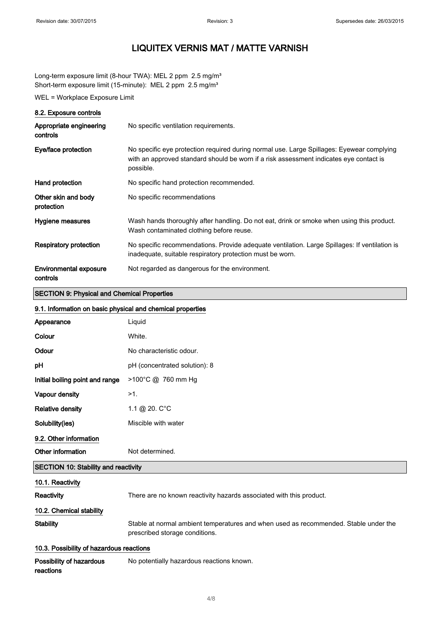Long-term exposure limit (8-hour TWA): MEL 2 ppm 2.5 mg/m<sup>3</sup> Short-term exposure limit (15-minute): MEL 2 ppm 2.5 mg/m<sup>3</sup>

WEL = Workplace Exposure Limit

# 8.2. Exposure controls

| Appropriate engineering<br>controls       | No specific ventilation requirements.                                                                                                                                                            |
|-------------------------------------------|--------------------------------------------------------------------------------------------------------------------------------------------------------------------------------------------------|
| Eye/face protection                       | No specific eye protection required during normal use. Large Spillages: Eyewear complying<br>with an approved standard should be worn if a risk assessment indicates eye contact is<br>possible. |
| Hand protection                           | No specific hand protection recommended.                                                                                                                                                         |
| Other skin and body<br>protection         | No specific recommendations                                                                                                                                                                      |
| Hygiene measures                          | Wash hands thoroughly after handling. Do not eat, drink or smoke when using this product.<br>Wash contaminated clothing before reuse.                                                            |
| <b>Respiratory protection</b>             | No specific recommendations. Provide adequate ventilation. Large Spillages: If ventilation is<br>inadequate, suitable respiratory protection must be worn.                                       |
| <b>Environmental exposure</b><br>controls | Not regarded as dangerous for the environment.                                                                                                                                                   |

# SECTION 9: Physical and Chemical Properties

## 9.1. Information on basic physical and chemical properties

| Appearance                                  | Liquid                                                                                                                 |  |
|---------------------------------------------|------------------------------------------------------------------------------------------------------------------------|--|
| Colour                                      | White.                                                                                                                 |  |
| Odour                                       | No characteristic odour.                                                                                               |  |
| рH                                          | pH (concentrated solution): 8                                                                                          |  |
| Initial boiling point and range             | >100°C @ 760 mm Hg                                                                                                     |  |
| Vapour density                              | $>1$ .                                                                                                                 |  |
| <b>Relative density</b>                     | 1.1 @ 20. $C^{\circ}C$                                                                                                 |  |
| Solubility(ies)                             | Miscible with water                                                                                                    |  |
| 9.2. Other information                      |                                                                                                                        |  |
| Other information                           | Not determined.                                                                                                        |  |
| <b>SECTION 10: Stability and reactivity</b> |                                                                                                                        |  |
| 10.1. Reactivity                            |                                                                                                                        |  |
| Reactivity                                  | There are no known reactivity hazards associated with this product.                                                    |  |
| 10.2. Chemical stability                    |                                                                                                                        |  |
| <b>Stability</b>                            | Stable at normal ambient temperatures and when used as recommended. Stable under the<br>prescribed storage conditions. |  |
| 10.3. Possibility of hazardous reactions    |                                                                                                                        |  |
| Possibility of hazardous<br>reactions       | No potentially hazardous reactions known.                                                                              |  |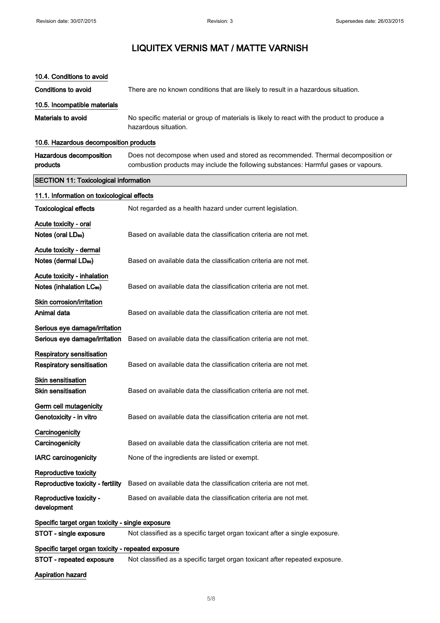| 10.4. Conditions to avoid                                     |                                                                                                                                                                         |  |
|---------------------------------------------------------------|-------------------------------------------------------------------------------------------------------------------------------------------------------------------------|--|
| <b>Conditions to avoid</b>                                    | There are no known conditions that are likely to result in a hazardous situation.                                                                                       |  |
| 10.5. Incompatible materials                                  |                                                                                                                                                                         |  |
| Materials to avoid                                            | No specific material or group of materials is likely to react with the product to produce a<br>hazardous situation.                                                     |  |
| 10.6. Hazardous decomposition products                        |                                                                                                                                                                         |  |
| Hazardous decomposition<br>products                           | Does not decompose when used and stored as recommended. Thermal decomposition or<br>combustion products may include the following substances: Harmful gases or vapours. |  |
| <b>SECTION 11: Toxicological information</b>                  |                                                                                                                                                                         |  |
| 11.1. Information on toxicological effects                    |                                                                                                                                                                         |  |
| <b>Toxicological effects</b>                                  | Not regarded as a health hazard under current legislation.                                                                                                              |  |
| Acute toxicity - oral                                         |                                                                                                                                                                         |  |
| Notes (oral LD <sub>50</sub> )                                | Based on available data the classification criteria are not met.                                                                                                        |  |
| Acute toxicity - dermal                                       |                                                                                                                                                                         |  |
| Notes (dermal LDso)                                           | Based on available data the classification criteria are not met.                                                                                                        |  |
| Acute toxicity - inhalation                                   |                                                                                                                                                                         |  |
| Notes (inhalation LC <sub>50</sub> )                          | Based on available data the classification criteria are not met.                                                                                                        |  |
| Skin corrosion/irritation                                     |                                                                                                                                                                         |  |
| Animal data                                                   | Based on available data the classification criteria are not met.                                                                                                        |  |
| Serious eye damage/irritation                                 |                                                                                                                                                                         |  |
| Serious eye damage/irritation                                 | Based on available data the classification criteria are not met.                                                                                                        |  |
| <b>Respiratory sensitisation</b><br>Respiratory sensitisation | Based on available data the classification criteria are not met.                                                                                                        |  |
| Skin sensitisation                                            |                                                                                                                                                                         |  |
| <b>Skin sensitisation</b>                                     | Based on available data the classification criteria are not met.                                                                                                        |  |
| Germ cell mutagenicity                                        |                                                                                                                                                                         |  |
| Genotoxicity - in vitro                                       | Based on available data the classification criteria are not met.                                                                                                        |  |
| Carcinogenicity                                               |                                                                                                                                                                         |  |
| Carcinogenicity                                               | Based on available data the classification criteria are not met.                                                                                                        |  |
| <b>IARC</b> carcinogenicity                                   | None of the ingredients are listed or exempt.                                                                                                                           |  |
| Reproductive toxicity                                         |                                                                                                                                                                         |  |
| Reproductive toxicity - fertility                             | Based on available data the classification criteria are not met.                                                                                                        |  |
| Reproductive toxicity -<br>development                        | Based on available data the classification criteria are not met.                                                                                                        |  |
| Specific target organ toxicity - single exposure              |                                                                                                                                                                         |  |
| STOT - single exposure                                        | Not classified as a specific target organ toxicant after a single exposure.                                                                                             |  |
| Specific target organ toxicity - repeated exposure            |                                                                                                                                                                         |  |
| <b>STOT - repeated exposure</b>                               | Not classified as a specific target organ toxicant after repeated exposure.                                                                                             |  |
| <b>Aspiration hazard</b>                                      |                                                                                                                                                                         |  |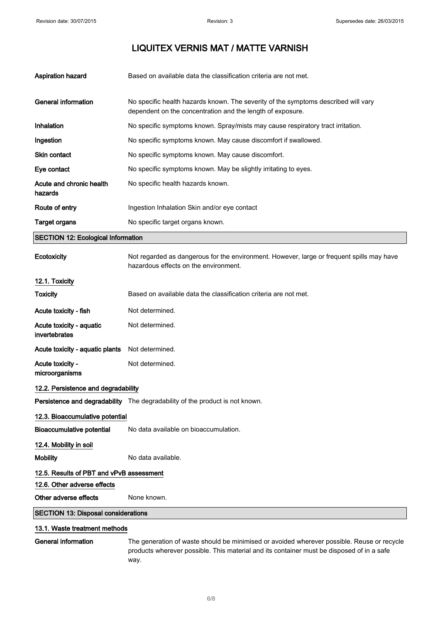| <b>Aspiration hazard</b>            | Based on available data the classification criteria are not met.                                                                                 |
|-------------------------------------|--------------------------------------------------------------------------------------------------------------------------------------------------|
| General information                 | No specific health hazards known. The severity of the symptoms described will vary<br>dependent on the concentration and the length of exposure. |
| <b>Inhalation</b>                   | No specific symptoms known. Spray/mists may cause respiratory tract irritation.                                                                  |
| Ingestion                           | No specific symptoms known. May cause discomfort if swallowed.                                                                                   |
| <b>Skin contact</b>                 | No specific symptoms known. May cause discomfort.                                                                                                |
| Eye contact                         | No specific symptoms known. May be slightly irritating to eyes.                                                                                  |
| Acute and chronic health<br>hazards | No specific health hazards known.                                                                                                                |
| Route of entry                      | Ingestion Inhalation Skin and/or eye contact                                                                                                     |
| <b>Target organs</b>                | No specific target organs known.                                                                                                                 |

# SECTION 12: Ecological Information

| Ecotoxicity                                | Not regarded as dangerous for the environment. However, large or frequent spills may have<br>hazardous effects on the environment. |  |
|--------------------------------------------|------------------------------------------------------------------------------------------------------------------------------------|--|
| 12.1. Toxicity                             |                                                                                                                                    |  |
| <b>Toxicity</b>                            | Based on available data the classification criteria are not met.                                                                   |  |
| Acute toxicity - fish                      | Not determined.                                                                                                                    |  |
| Acute toxicity - aquatic<br>invertebrates  | Not determined.                                                                                                                    |  |
| Acute toxicity - aquatic plants            | Not determined.                                                                                                                    |  |
| Acute toxicity -<br>microorganisms         | Not determined.                                                                                                                    |  |
| 12.2. Persistence and degradability        |                                                                                                                                    |  |
|                                            | Persistence and degradability The degradability of the product is not known.                                                       |  |
| 12.3. Bioaccumulative potential            |                                                                                                                                    |  |
| <b>Bioaccumulative potential</b>           | No data available on bioaccumulation.                                                                                              |  |
| 12.4. Mobility in soil                     |                                                                                                                                    |  |
| <b>Mobility</b>                            | No data available.                                                                                                                 |  |
| 12.5. Results of PBT and vPvB assessment   |                                                                                                                                    |  |
| 12.6. Other adverse effects                |                                                                                                                                    |  |
| Other adverse effects                      | None known.                                                                                                                        |  |
| <b>SECTION 13: Disposal considerations</b> |                                                                                                                                    |  |
| 13.1. Waste treatment methods              |                                                                                                                                    |  |
|                                            |                                                                                                                                    |  |

General information The generation of waste should be minimised or avoided wherever possible. Reuse or recycle products wherever possible. This material and its container must be disposed of in a safe way.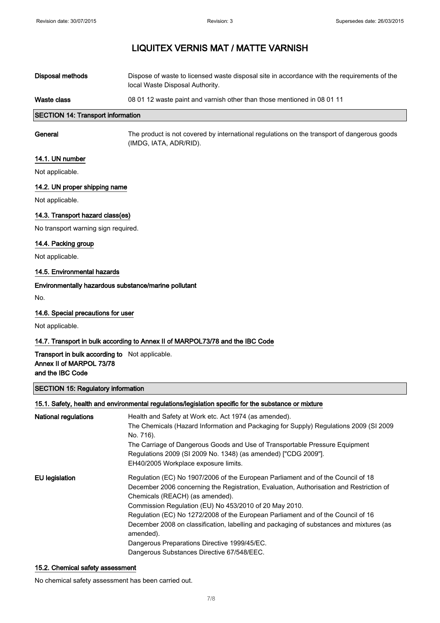| <b>SECTION 14: Transport information</b> |                                                                                                                                |
|------------------------------------------|--------------------------------------------------------------------------------------------------------------------------------|
| Waste class                              | 08 01 12 waste paint and varnish other than those mentioned in 08 01 11                                                        |
| Disposal methods                         | Dispose of waste to licensed waste disposal site in accordance with the requirements of the<br>local Waste Disposal Authority. |

General The product is not covered by international regulations on the transport of dangerous goods (IMDG, IATA, ADR/RID).

## 14.1. UN number

Not applicable.

## 14.2. UN proper shipping name

Not applicable.

# 14.3. Transport hazard class(es)

No transport warning sign required.

#### 14.4. Packing group

Not applicable.

## 14.5. Environmental hazards

## Environmentally hazardous substance/marine pollutant

No.

#### 14.6. Special precautions for user

Not applicable.

## 14.7. Transport in bulk according to Annex II of MARPOL73/78 and the IBC Code

## Transport in bulk according to Not applicable. Annex II of MARPOL 73/78 and the IBC Code

#### SECTION 15: Regulatory information

| 15.1. Safety, health and environmental regulations/legislation specific for the substance or mixture |                                                                                                                                                                                                                                                                                                                                                                                                                                                                                                                                                                    |  |
|------------------------------------------------------------------------------------------------------|--------------------------------------------------------------------------------------------------------------------------------------------------------------------------------------------------------------------------------------------------------------------------------------------------------------------------------------------------------------------------------------------------------------------------------------------------------------------------------------------------------------------------------------------------------------------|--|
| <b>National regulations</b>                                                                          | Health and Safety at Work etc. Act 1974 (as amended).<br>The Chemicals (Hazard Information and Packaging for Supply) Regulations 2009 (SI 2009<br>No. 716).<br>The Carriage of Dangerous Goods and Use of Transportable Pressure Equipment<br>Regulations 2009 (SI 2009 No. 1348) (as amended) ["CDG 2009"].<br>EH40/2005 Workplace exposure limits.                                                                                                                                                                                                               |  |
| EU legislation                                                                                       | Regulation (EC) No 1907/2006 of the European Parliament and of the Council of 18<br>December 2006 concerning the Registration, Evaluation, Authorisation and Restriction of<br>Chemicals (REACH) (as amended).<br>Commission Regulation (EU) No 453/2010 of 20 May 2010.<br>Regulation (EC) No 1272/2008 of the European Parliament and of the Council of 16<br>December 2008 on classification, labelling and packaging of substances and mixtures (as<br>amended).<br>Dangerous Preparations Directive 1999/45/EC.<br>Dangerous Substances Directive 67/548/EEC. |  |

#### 15.2. Chemical safety assessment

No chemical safety assessment has been carried out.